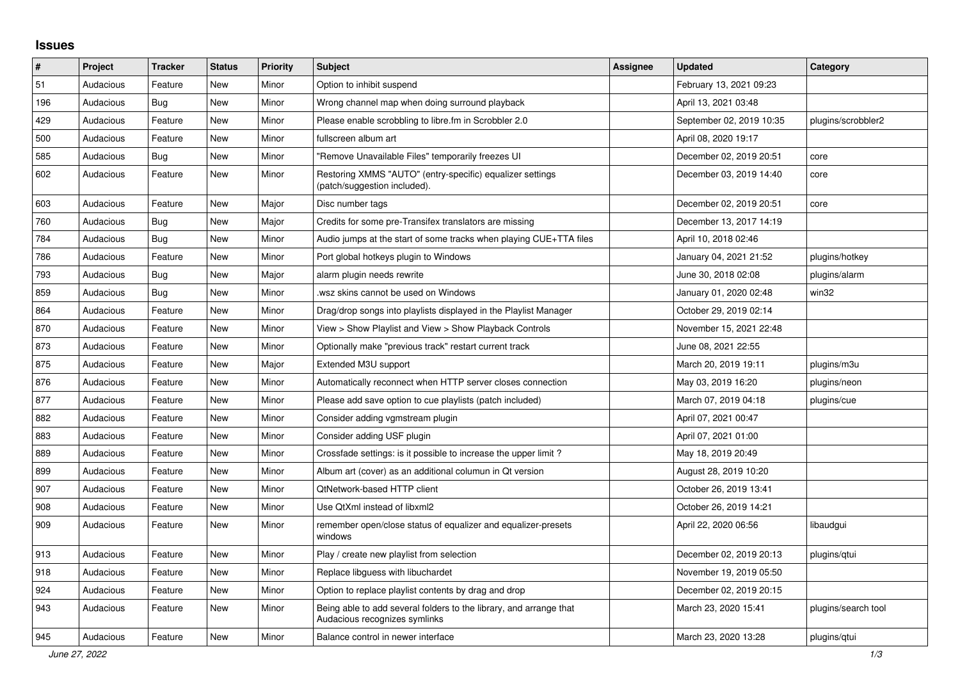## **Issues**

| #   | Project   | <b>Tracker</b> | <b>Status</b> | <b>Priority</b> | <b>Subject</b>                                                                                      | <b>Assignee</b> | <b>Updated</b>           | Category            |
|-----|-----------|----------------|---------------|-----------------|-----------------------------------------------------------------------------------------------------|-----------------|--------------------------|---------------------|
| 51  | Audacious | Feature        | <b>New</b>    | Minor           | Option to inhibit suspend                                                                           |                 | February 13, 2021 09:23  |                     |
| 196 | Audacious | Bug            | New           | Minor           | Wrong channel map when doing surround playback                                                      |                 | April 13, 2021 03:48     |                     |
| 429 | Audacious | Feature        | <b>New</b>    | Minor           | Please enable scrobbling to libre.fm in Scrobbler 2.0                                               |                 | September 02, 2019 10:35 | plugins/scrobbler2  |
| 500 | Audacious | Feature        | <b>New</b>    | Minor           | fullscreen album art                                                                                |                 | April 08, 2020 19:17     |                     |
| 585 | Audacious | Bug            | <b>New</b>    | Minor           | "Remove Unavailable Files" temporarily freezes UI                                                   |                 | December 02, 2019 20:51  | core                |
| 602 | Audacious | Feature        | <b>New</b>    | Minor           | Restoring XMMS "AUTO" (entry-specific) equalizer settings<br>(patch/suggestion included).           |                 | December 03, 2019 14:40  | core                |
| 603 | Audacious | Feature        | <b>New</b>    | Major           | Disc number tags                                                                                    |                 | December 02, 2019 20:51  | core                |
| 760 | Audacious | Bug            | <b>New</b>    | Major           | Credits for some pre-Transifex translators are missing                                              |                 | December 13, 2017 14:19  |                     |
| 784 | Audacious | <b>Bug</b>     | <b>New</b>    | Minor           | Audio jumps at the start of some tracks when playing CUE+TTA files                                  |                 | April 10, 2018 02:46     |                     |
| 786 | Audacious | Feature        | New           | Minor           | Port global hotkeys plugin to Windows                                                               |                 | January 04, 2021 21:52   | plugins/hotkey      |
| 793 | Audacious | Bug            | New           | Major           | alarm plugin needs rewrite                                                                          |                 | June 30, 2018 02:08      | plugins/alarm       |
| 859 | Audacious | Bug            | <b>New</b>    | Minor           | wsz skins cannot be used on Windows.                                                                |                 | January 01, 2020 02:48   | win32               |
| 864 | Audacious | Feature        | <b>New</b>    | Minor           | Drag/drop songs into playlists displayed in the Playlist Manager                                    |                 | October 29, 2019 02:14   |                     |
| 870 | Audacious | Feature        | <b>New</b>    | Minor           | View > Show Playlist and View > Show Playback Controls                                              |                 | November 15, 2021 22:48  |                     |
| 873 | Audacious | Feature        | <b>New</b>    | Minor           | Optionally make "previous track" restart current track                                              |                 | June 08, 2021 22:55      |                     |
| 875 | Audacious | Feature        | <b>New</b>    | Major           | Extended M3U support                                                                                |                 | March 20, 2019 19:11     | plugins/m3u         |
| 876 | Audacious | Feature        | <b>New</b>    | Minor           | Automatically reconnect when HTTP server closes connection                                          |                 | May 03, 2019 16:20       | plugins/neon        |
| 877 | Audacious | Feature        | <b>New</b>    | Minor           | Please add save option to cue playlists (patch included)                                            |                 | March 07, 2019 04:18     | plugins/cue         |
| 882 | Audacious | Feature        | New           | Minor           | Consider adding vgmstream plugin                                                                    |                 | April 07, 2021 00:47     |                     |
| 883 | Audacious | Feature        | New           | Minor           | Consider adding USF plugin                                                                          |                 | April 07, 2021 01:00     |                     |
| 889 | Audacious | Feature        | <b>New</b>    | Minor           | Crossfade settings: is it possible to increase the upper limit?                                     |                 | May 18, 2019 20:49       |                     |
| 899 | Audacious | Feature        | <b>New</b>    | Minor           | Album art (cover) as an additional columun in Qt version                                            |                 | August 28, 2019 10:20    |                     |
| 907 | Audacious | Feature        | <b>New</b>    | Minor           | QtNetwork-based HTTP client                                                                         |                 | October 26, 2019 13:41   |                     |
| 908 | Audacious | Feature        | <b>New</b>    | Minor           | Use QtXml instead of libxml2                                                                        |                 | October 26, 2019 14:21   |                     |
| 909 | Audacious | Feature        | New           | Minor           | remember open/close status of equalizer and equalizer-presets<br>windows                            |                 | April 22, 2020 06:56     | libaudgui           |
| 913 | Audacious | Feature        | <b>New</b>    | Minor           | Play / create new playlist from selection                                                           |                 | December 02, 2019 20:13  | plugins/qtui        |
| 918 | Audacious | Feature        | New           | Minor           | Replace libguess with libuchardet                                                                   |                 | November 19, 2019 05:50  |                     |
| 924 | Audacious | Feature        | New           | Minor           | Option to replace playlist contents by drag and drop                                                |                 | December 02, 2019 20:15  |                     |
| 943 | Audacious | Feature        | <b>New</b>    | Minor           | Being able to add several folders to the library, and arrange that<br>Audacious recognizes symlinks |                 | March 23, 2020 15:41     | plugins/search tool |
| 945 | Audacious | Feature        | New           | Minor           | Balance control in newer interface                                                                  |                 | March 23, 2020 13:28     | plugins/gtui        |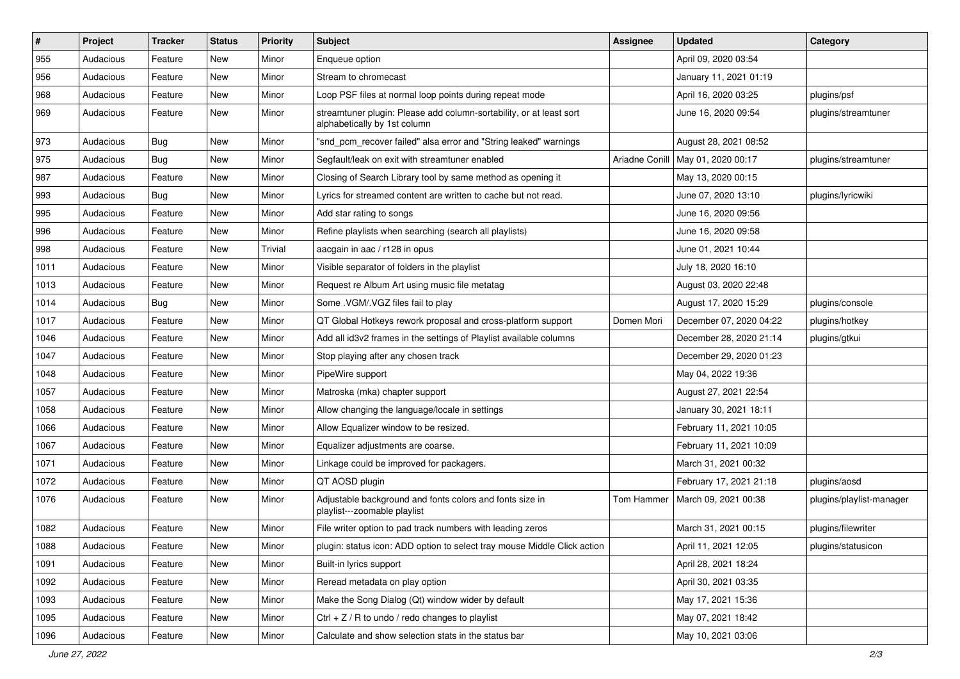| #    | Project   | <b>Tracker</b> | <b>Status</b> | <b>Priority</b> | Subject                                                                                             | <b>Assignee</b> | <b>Updated</b>          | Category                 |
|------|-----------|----------------|---------------|-----------------|-----------------------------------------------------------------------------------------------------|-----------------|-------------------------|--------------------------|
| 955  | Audacious | Feature        | New           | Minor           | Enqueue option                                                                                      |                 | April 09, 2020 03:54    |                          |
| 956  | Audacious | Feature        | New           | Minor           | Stream to chromecast                                                                                |                 | January 11, 2021 01:19  |                          |
| 968  | Audacious | Feature        | New           | Minor           | Loop PSF files at normal loop points during repeat mode                                             |                 | April 16, 2020 03:25    | plugins/psf              |
| 969  | Audacious | Feature        | New           | Minor           | streamtuner plugin: Please add column-sortability, or at least sort<br>alphabetically by 1st column |                 | June 16, 2020 09:54     | plugins/streamtuner      |
| 973  | Audacious | Bug            | New           | Minor           | "snd_pcm_recover failed" alsa error and "String leaked" warnings                                    |                 | August 28, 2021 08:52   |                          |
| 975  | Audacious | Bug            | New           | Minor           | Segfault/leak on exit with streamtuner enabled                                                      | Ariadne Conill  | May 01, 2020 00:17      | plugins/streamtuner      |
| 987  | Audacious | Feature        | New           | Minor           | Closing of Search Library tool by same method as opening it                                         |                 | May 13, 2020 00:15      |                          |
| 993  | Audacious | Bug            | New           | Minor           | Lyrics for streamed content are written to cache but not read.                                      |                 | June 07, 2020 13:10     | plugins/lyricwiki        |
| 995  | Audacious | Feature        | New           | Minor           | Add star rating to songs                                                                            |                 | June 16, 2020 09:56     |                          |
| 996  | Audacious | Feature        | New           | Minor           | Refine playlists when searching (search all playlists)                                              |                 | June 16, 2020 09:58     |                          |
| 998  | Audacious | Feature        | New           | Trivial         | aacgain in aac / r128 in opus                                                                       |                 | June 01, 2021 10:44     |                          |
| 1011 | Audacious | Feature        | New           | Minor           | Visible separator of folders in the playlist                                                        |                 | July 18, 2020 16:10     |                          |
| 1013 | Audacious | Feature        | New           | Minor           | Request re Album Art using music file metatag                                                       |                 | August 03, 2020 22:48   |                          |
| 1014 | Audacious | <b>Bug</b>     | New           | Minor           | Some .VGM/.VGZ files fail to play                                                                   |                 | August 17, 2020 15:29   | plugins/console          |
| 1017 | Audacious | Feature        | New           | Minor           | QT Global Hotkeys rework proposal and cross-platform support                                        | Domen Mori      | December 07, 2020 04:22 | plugins/hotkey           |
| 1046 | Audacious | Feature        | New           | Minor           | Add all id3v2 frames in the settings of Playlist available columns                                  |                 | December 28, 2020 21:14 | plugins/gtkui            |
| 1047 | Audacious | Feature        | New           | Minor           | Stop playing after any chosen track                                                                 |                 | December 29, 2020 01:23 |                          |
| 1048 | Audacious | Feature        | New           | Minor           | PipeWire support                                                                                    |                 | May 04, 2022 19:36      |                          |
| 1057 | Audacious | Feature        | New           | Minor           | Matroska (mka) chapter support                                                                      |                 | August 27, 2021 22:54   |                          |
| 1058 | Audacious | Feature        | New           | Minor           | Allow changing the language/locale in settings                                                      |                 | January 30, 2021 18:11  |                          |
| 1066 | Audacious | Feature        | New           | Minor           | Allow Equalizer window to be resized.                                                               |                 | February 11, 2021 10:05 |                          |
| 1067 | Audacious | Feature        | New           | Minor           | Equalizer adjustments are coarse.                                                                   |                 | February 11, 2021 10:09 |                          |
| 1071 | Audacious | Feature        | New           | Minor           | Linkage could be improved for packagers.                                                            |                 | March 31, 2021 00:32    |                          |
| 1072 | Audacious | Feature        | New           | Minor           | QT AOSD plugin                                                                                      |                 | February 17, 2021 21:18 | plugins/aosd             |
| 1076 | Audacious | Feature        | New           | Minor           | Adjustable background and fonts colors and fonts size in<br>playlist---zoomable playlist            | Tom Hammer      | March 09, 2021 00:38    | plugins/playlist-manager |
| 1082 | Audacious | Feature        | New           | Minor           | File writer option to pad track numbers with leading zeros                                          |                 | March 31, 2021 00:15    | plugins/filewriter       |
| 1088 | Audacious | Feature        | New           | Minor           | plugin: status icon: ADD option to select tray mouse Middle Click action                            |                 | April 11, 2021 12:05    | plugins/statusicon       |
| 1091 | Audacious | Feature        | New           | Minor           | Built-in lyrics support                                                                             |                 | April 28, 2021 18:24    |                          |
| 1092 | Audacious | Feature        | New           | Minor           | Reread metadata on play option                                                                      |                 | April 30, 2021 03:35    |                          |
| 1093 | Audacious | Feature        | New           | Minor           | Make the Song Dialog (Qt) window wider by default                                                   |                 | May 17, 2021 15:36      |                          |
| 1095 | Audacious | Feature        | New           | Minor           | Ctrl + $Z$ / R to undo / redo changes to playlist                                                   |                 | May 07, 2021 18:42      |                          |
| 1096 | Audacious | Feature        | New           | Minor           | Calculate and show selection stats in the status bar                                                |                 | May 10, 2021 03:06      |                          |